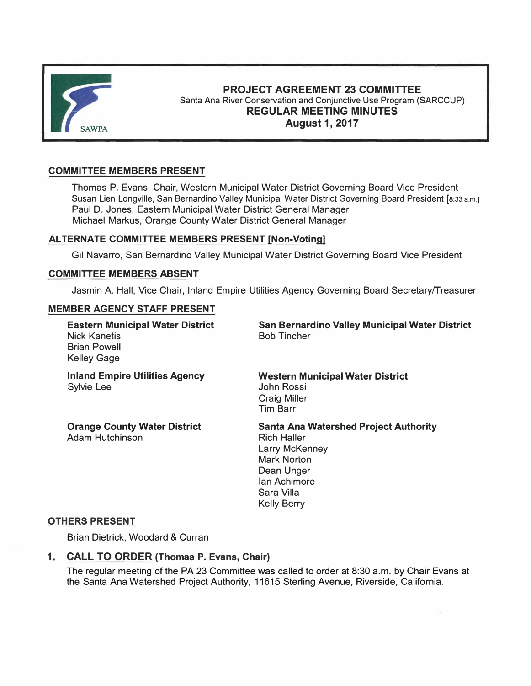

# **PROJECT AGREEMENT 23 COMMITTEE**  Santa Ana River Conservation and Conjunctive Use Program (SARCCUP) **REGULAR MEETING MINUTES August1,2017**

## **COMMITTEE MEMBERS PRESENT**

Thomas P. Evans, Chair, Western Municipal Water District Governing Board Vice President Susan Lien Longville, San Bernardino Valley Municipal Water District Governing Board President [8:33 a.m.] Paul D. Jones, Eastern Municipal Water District General Manager Michael Markus, Orange County Water District General Manager

## **ALTERNATE COMMITTEE MEMBERS PRESENT [Non-Voting)**

Gil Navarro, San Bernardino Valley Municipal Water District Governing Board Vice President

## **COMMITTEE MEMBERS ABSENT**

Jasmin A. Hall, Vice Chair, Inland Empire Utilities Agency Governing Board Secretary/Treasurer

## **MEMBER AGENCY STAFF PRESENT**

| <b>Eastern Municipal Water District</b><br><b>Nick Kanetis</b><br><b>Brian Powell</b><br><b>Kelley Gage</b> | San Bernardino Valley Municipal Water District<br><b>Bob Tincher</b>                                                                                                                |
|-------------------------------------------------------------------------------------------------------------|-------------------------------------------------------------------------------------------------------------------------------------------------------------------------------------|
| <b>Inland Empire Utilities Agency</b><br>Sylvie Lee                                                         | <b>Western Municipal Water District</b><br>John Rossi<br><b>Craig Miller</b><br><b>Tim Barr</b>                                                                                     |
| <b>Orange County Water District</b><br><b>Adam Hutchinson</b>                                               | <b>Santa Ana Watershed Project Authority</b><br><b>Rich Haller</b><br><b>Larry McKenney</b><br><b>Mark Norton</b><br>Dean Unger<br>lan Achimore<br>Sara Villa<br><b>Kelly Berry</b> |

### **OTHERS PRESENT**

Brian Dietrick, Woodard & Curran

## **1. CALL TO ORDER (Thomas P. Evans, Chair)**

The regular meeting of the PA 23 Committee was called to order at 8:30 a.m. by Chair Evans at the Santa Ana Watershed Project Authority, 11615 Sterling Avenue, Riverside, California.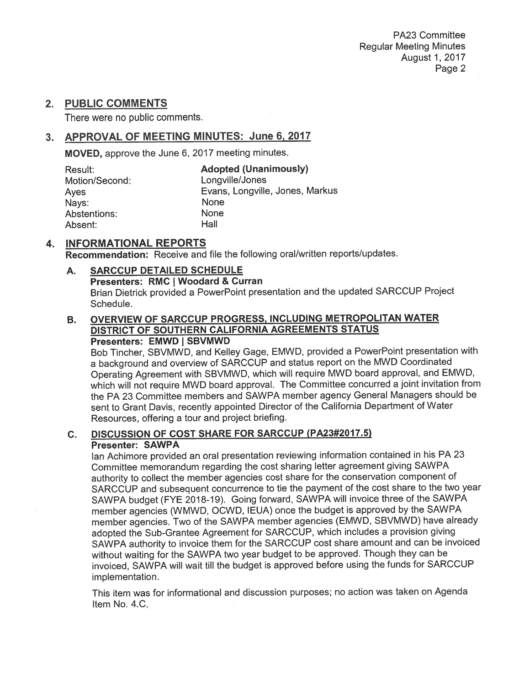# 2. PUBLIC COMMENTS

There were no public comments.

# 3. APPROVAL OF MEETING MINUTES: June 6, 2017

MOVED, approve the June 6, 2017 meeting minutes.

| Result:        | <b>Adopted (Unanimously)</b>    |
|----------------|---------------------------------|
| Motion/Second: | Longville/Jones                 |
| Ayes           | Evans, Longville, Jones, Markus |
| Nays:          | None                            |
| Abstentions:   | None                            |
| Absent:        | Hall                            |

#### **INFORMATIONAL REPORTS** 4.

**Recommendation:** Receive and file the following oral/written reports/updates.

### **SARCCUP DETAILED SCHEDULE** A. Presenters: RMC | Woodard & Curran Brian Dietrick provided a PowerPoint presentation and the updated SARCCUP Project Schedule.

### OVERVIEW OF SARCCUP PROGRESS, INCLUDING METROPOLITAN WATER В. DISTRICT OF SOUTHERN CALIFORNIA AGREEMENTS STATUS Presenters: EMWD | SBVMWD

Bob Tincher, SBVMWD, and Kelley Gage, EMWD, provided a PowerPoint presentation with a background and overview of SARCCUP and status report on the MWD Coordinated Operating Agreement with SBVMWD, which will require MWD board approval, and EMWD, which will not require MWD board approval. The Committee concurred a joint invitation from the PA 23 Committee members and SAWPA member agency General Managers should be sent to Grant Davis, recently appointed Director of the California Department of Water Resources, offering a tour and project briefing.

#### DISCUSSION OF COST SHARE FOR SARCCUP (PA23#2017.5)  $C_{1}$ **Presenter: SAWPA**

lan Achimore provided an oral presentation reviewing information contained in his PA 23 Committee memorandum regarding the cost sharing letter agreement giving SAWPA authority to collect the member agencies cost share for the conservation component of SARCCUP and subsequent concurrence to tie the payment of the cost share to the two year SAWPA budget (FYE 2018-19). Going forward, SAWPA will invoice three of the SAWPA member agencies (WMWD, OCWD, IEUA) once the budget is approved by the SAWPA member agencies. Two of the SAWPA member agencies (EMWD, SBVMWD) have already adopted the Sub-Grantee Agreement for SARCCUP, which includes a provision giving SAWPA authority to invoice them for the SARCCUP cost share amount and can be invoiced without waiting for the SAWPA two year budget to be approved. Though they can be invoiced, SAWPA will wait till the budget is approved before using the funds for SARCCUP implementation.

This item was for informational and discussion purposes; no action was taken on Agenda Item No. 4.C.